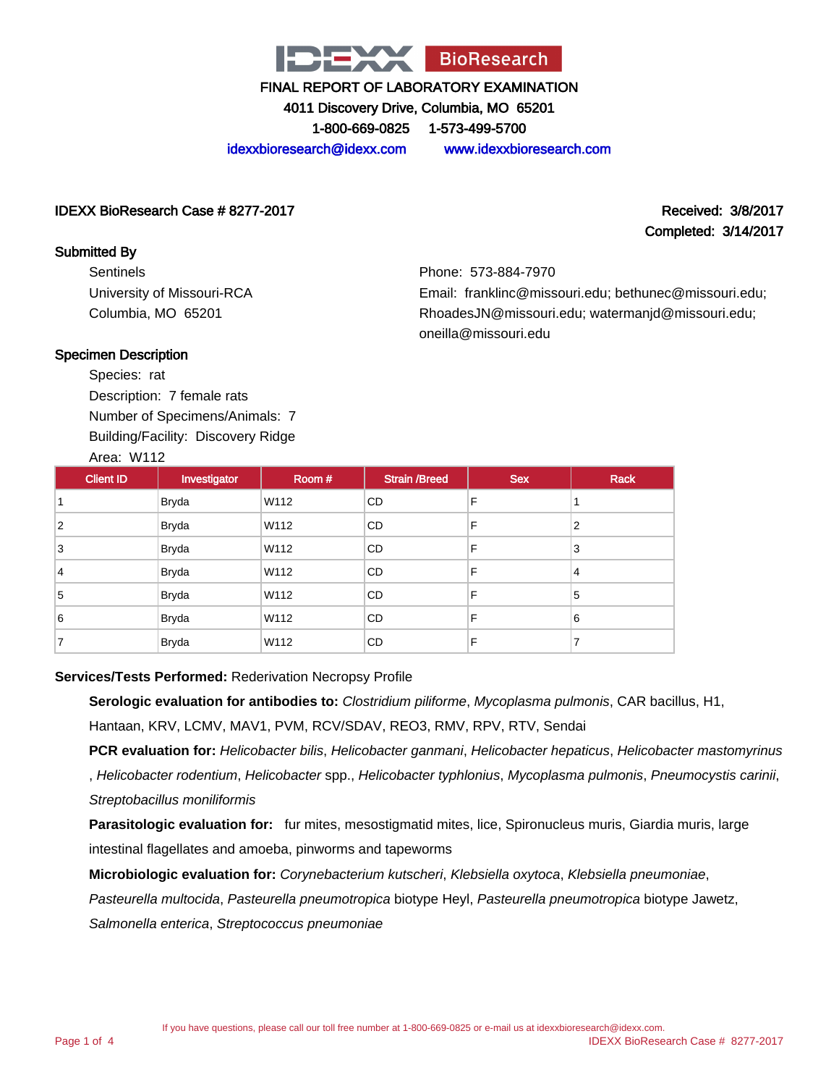

4011 Discovery Drive, Columbia, MO 65201

1-800-669-0825 1-573-499-5700

idexxbioresearch@idexx.com www.idexxbioresearch.com

### IDEXX BioResearch Case # 8277-2017 Received: 3/8/2017

# Completed: 3/14/2017

Sentinels University of Missouri-RCA Columbia, MO 65201

Phone: 573-884-7970 Email: franklinc@missouri.edu; bethunec@missouri.edu; RhoadesJN@missouri.edu; watermanjd@missouri.edu; oneilla@missouri.edu

## Specimen Description

Submitted By

Species: rat Description: 7 female rats Number of Specimens/Animals: 7 Building/Facility: Discovery Ridge Area: W112

| <b>Client ID</b> | Investigator | Room # | <b>Strain /Breed</b> | <b>Sex</b> | <b>Rack</b> |
|------------------|--------------|--------|----------------------|------------|-------------|
|                  | <b>Bryda</b> | W112   | <b>CD</b>            | F          |             |
| 2                | <b>Bryda</b> | W112   | <b>CD</b>            | F          | 2           |
| 3                | <b>Bryda</b> | W112   | <b>CD</b>            | F          | 3           |
| 4                | <b>Bryda</b> | W112   | <b>CD</b>            | F          | 4           |
| 5                | <b>Bryda</b> | W112   | <b>CD</b>            | F          | 5           |
| 6                | <b>Bryda</b> | W112   | <b>CD</b>            | F          | 6           |
|                  | <b>Bryda</b> | W112   | <b>CD</b>            | F          | 7           |

## **Services/Tests Performed:** Rederivation Necropsy Profile

**Serologic evaluation for antibodies to:** Clostridium piliforme, Mycoplasma pulmonis, CAR bacillus, H1, Hantaan, KRV, LCMV, MAV1, PVM, RCV/SDAV, REO3, RMV, RPV, RTV, Sendai

**PCR evaluation for:** Helicobacter bilis, Helicobacter ganmani, Helicobacter hepaticus, Helicobacter mastomyrinus , Helicobacter rodentium, Helicobacter spp., Helicobacter typhlonius, Mycoplasma pulmonis, Pneumocystis carinii, Streptobacillus moniliformis

**Parasitologic evaluation for:** fur mites, mesostigmatid mites, lice, Spironucleus muris, Giardia muris, large intestinal flagellates and amoeba, pinworms and tapeworms

**Microbiologic evaluation for:** Corynebacterium kutscheri, Klebsiella oxytoca, Klebsiella pneumoniae,

Pasteurella multocida, Pasteurella pneumotropica biotype Heyl, Pasteurella pneumotropica biotype Jawetz,

Salmonella enterica, Streptococcus pneumoniae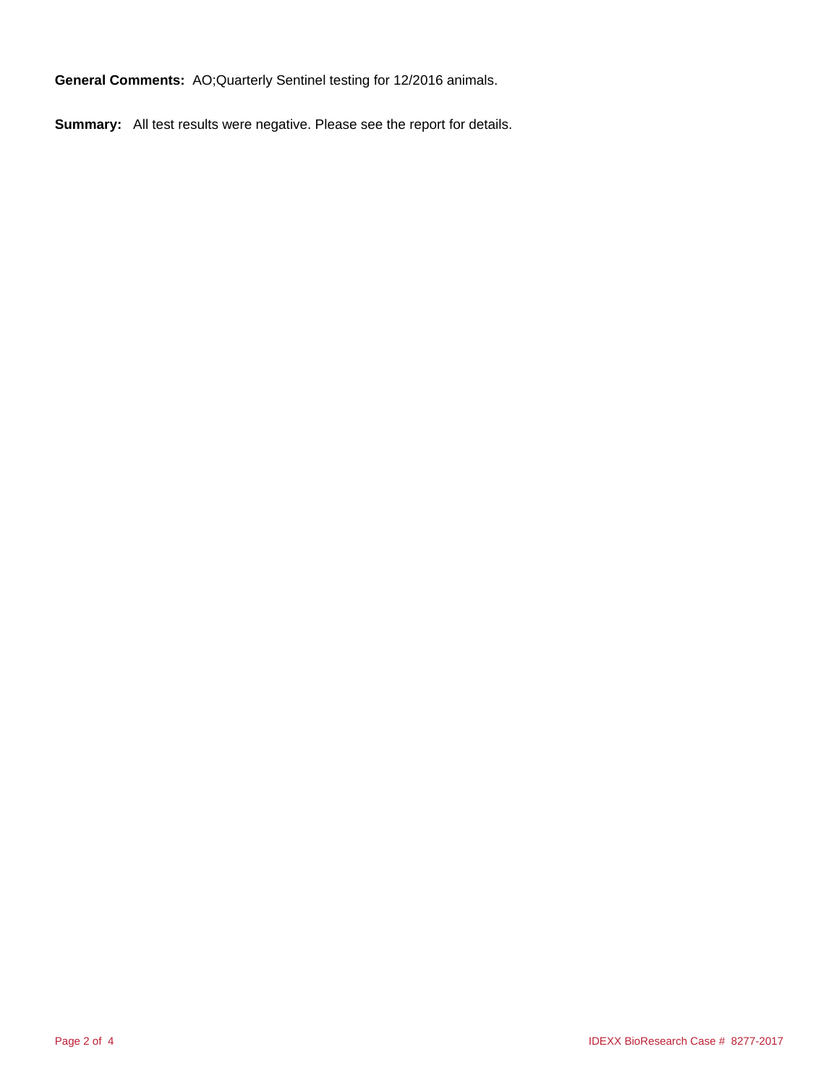**General Comments:** AO;Quarterly Sentinel testing for 12/2016 animals.

**Summary:** All test results were negative. Please see the report for details.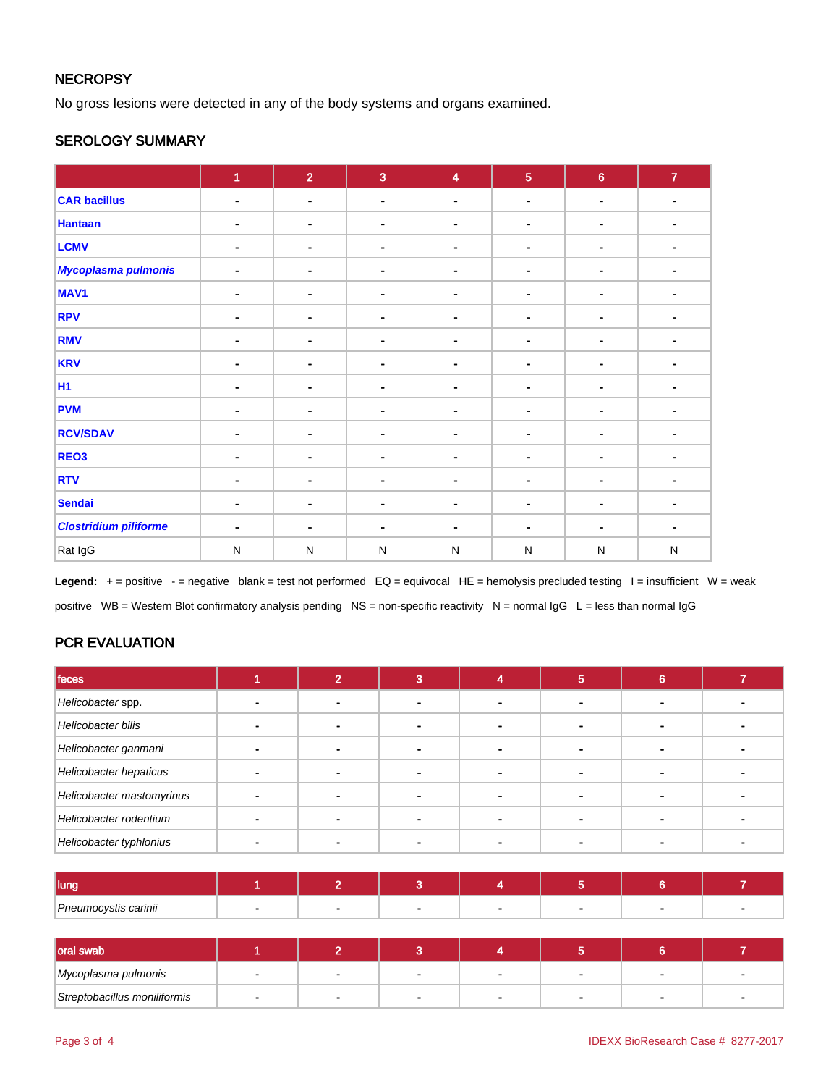# **NECROPSY**

No gross lesions were detected in any of the body systems and organs examined.

# SEROLOGY SUMMARY

|                              | $\overline{1}$ | $\overline{2}$               | $\overline{3}$ | $\overline{\mathbf{4}}$ | $\overline{5}$ | $\bf 6$                  | $\mathbf{7}$   |
|------------------------------|----------------|------------------------------|----------------|-------------------------|----------------|--------------------------|----------------|
| <b>CAR bacillus</b>          | $\blacksquare$ | $\blacksquare$               | $\blacksquare$ | $\blacksquare$          | ۰              | $\blacksquare$           | $\blacksquare$ |
| <b>Hantaan</b>               | ۰              | ۰                            | $\blacksquare$ | ٠                       | ۰              | ٠                        |                |
| <b>LCMV</b>                  | ٠              | $\blacksquare$               | $\blacksquare$ |                         | $\blacksquare$ | ٠                        |                |
| Mycoplasma pulmonis          | $\blacksquare$ | $\blacksquare$               | $\blacksquare$ |                         | $\blacksquare$ | ۰                        |                |
| MAV <sub>1</sub>             | ۰              | $\blacksquare$               | $\blacksquare$ |                         | ۰              | ٠                        |                |
| <b>RPV</b>                   | $\blacksquare$ | -                            | $\blacksquare$ | $\blacksquare$          |                | $\overline{\phantom{a}}$ | ٠              |
| <b>RMV</b>                   | $\blacksquare$ | $\blacksquare$               | $\blacksquare$ |                         | ٠              |                          |                |
| <b>KRV</b>                   | $\blacksquare$ | $\blacksquare$               | $\blacksquare$ |                         | ۰              | ٠                        |                |
| <b>H1</b>                    |                | $\qquad \qquad \blacksquare$ | $\blacksquare$ |                         | $\blacksquare$ | $\blacksquare$           |                |
| <b>PVM</b>                   | $\blacksquare$ | $\blacksquare$               | $\blacksquare$ |                         | ۰              |                          |                |
| <b>RCV/SDAV</b>              | ٠              | ۰                            | $\blacksquare$ | $\blacksquare$          | ٠              | ٠                        | ٠              |
| REO <sub>3</sub>             | ٠              | $\blacksquare$               | $\sim$         | ٠                       | $\blacksquare$ | ۰                        |                |
| <b>RTV</b>                   | $\blacksquare$ | $\blacksquare$               | $\blacksquare$ |                         | ۰.             | ٠                        |                |
| <b>Sendai</b>                | $\blacksquare$ | $\blacksquare$               | ٠              |                         | ۰.             | $\blacksquare$           |                |
| <b>Clostridium piliforme</b> | ٠              | $\blacksquare$               | $\blacksquare$ |                         | $\blacksquare$ |                          |                |
| Rat IgG                      | $\mathsf{N}$   | ${\sf N}$                    | $\mathsf{N}$   | N                       | ${\sf N}$      | ${\sf N}$                | $\mathsf{N}$   |

Legend: + = positive - = negative blank = test not performed EQ = equivocal HE = hemolysis precluded testing I = insufficient W = weak positive WB = Western Blot confirmatory analysis pending NS = non-specific reactivity N = normal IgG L = less than normal IgG

# PCR EVALUATION

| feces                     |  |  | Ð | ⌒ |  |
|---------------------------|--|--|---|---|--|
| Helicobacter spp.         |  |  |   |   |  |
| Helicobacter bilis        |  |  |   |   |  |
| Helicobacter ganmani      |  |  |   |   |  |
| Helicobacter hepaticus    |  |  |   |   |  |
| Helicobacter mastomyrinus |  |  |   |   |  |
| Helicobacter rodentium    |  |  |   |   |  |
| Helicobacter typhlonius   |  |  |   |   |  |

| I luna               |  |  |  |  |
|----------------------|--|--|--|--|
| Pneumocystis carinii |  |  |  |  |

| oral swab                    |              |  |  |  |
|------------------------------|--------------|--|--|--|
| Mycoplasma pulmonis          | $\mathbf{r}$ |  |  |  |
| Streptobacillus moniliformis |              |  |  |  |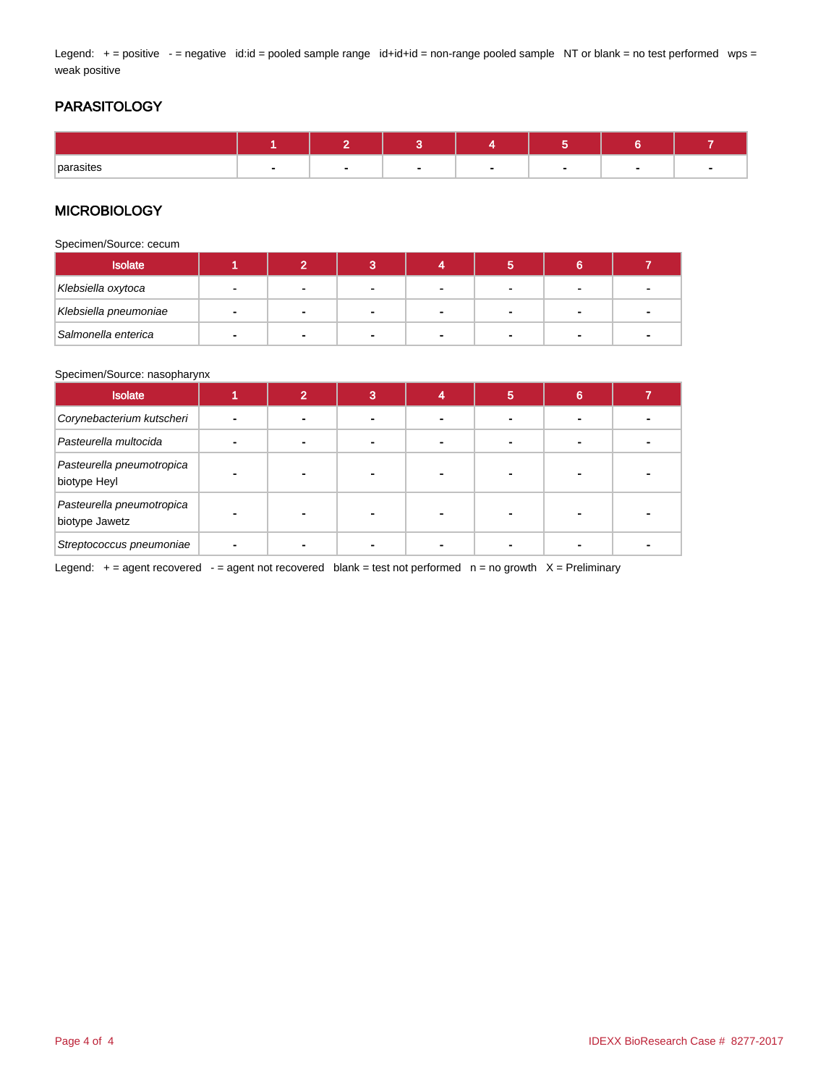Legend: + = positive - = negative id:id = pooled sample range id+id+id = non-range pooled sample NT or blank = no test performed wps = weak positive

# PARASITOLOGY

| parasites |  |  |  |  |
|-----------|--|--|--|--|

## **MICROBIOLOGY**

Specimen/Source: cecum

| <b>Isolate</b>        |        |                |   |  |                          |   |
|-----------------------|--------|----------------|---|--|--------------------------|---|
| Klebsiella oxytoca    |        |                |   |  |                          |   |
| Klebsiella pneumoniae | $\sim$ | $\blacksquare$ | - |  | $\overline{\phantom{a}}$ | - |
| Salmonella enterica   |        | $\blacksquare$ |   |  | -                        |   |

#### Specimen/Source: nasopharynx

| <b>Isolate</b>                              | $\mathbf{\Omega}$ | 3 | 5 | 6 |  |
|---------------------------------------------|-------------------|---|---|---|--|
| Corynebacterium kutscheri                   |                   |   |   |   |  |
| Pasteurella multocida                       |                   |   |   |   |  |
| Pasteurella pneumotropica<br>biotype Heyl   |                   |   |   |   |  |
| Pasteurella pneumotropica<br>biotype Jawetz |                   |   |   |   |  |
| Streptococcus pneumoniae                    |                   |   |   |   |  |

Legend:  $+$  = agent recovered  $-$  = agent not recovered blank = test not performed  $n$  = no growth  $X$  = Preliminary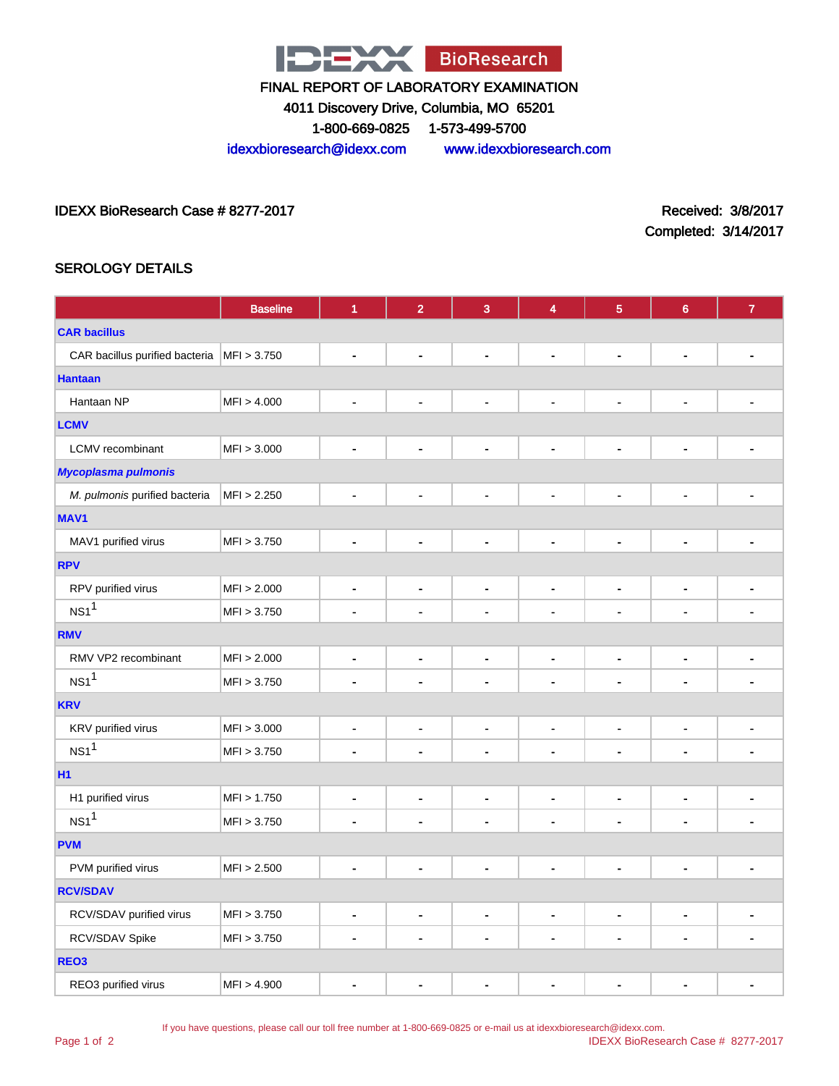

4011 Discovery Drive, Columbia, MO 65201

1-800-669-0825 1-573-499-5700

idexxbioresearch@idexx.com www.idexxbioresearch.com

IDEXX BioResearch Case # 8277-2017 Received: 3/8/2017

Completed: 3/14/2017

# SEROLOGY DETAILS

|                                              | <b>Baseline</b> | 1              | $\overline{2}$               | $\mathbf{3}$                 | 4                            | $\overline{5}$               | $6\phantom{1}6$              | $\boldsymbol{7}$             |  |
|----------------------------------------------|-----------------|----------------|------------------------------|------------------------------|------------------------------|------------------------------|------------------------------|------------------------------|--|
| <b>CAR bacillus</b>                          |                 |                |                              |                              |                              |                              |                              |                              |  |
| CAR bacillus purified bacteria   MFI > 3.750 |                 | $\blacksquare$ | $\qquad \qquad \blacksquare$ | $\qquad \qquad \blacksquare$ | $\blacksquare$               | $\qquad \qquad \blacksquare$ | $\blacksquare$               |                              |  |
| <b>Hantaan</b>                               |                 |                |                              |                              |                              |                              |                              |                              |  |
| Hantaan NP                                   | MFI > 4.000     | $\blacksquare$ | $\blacksquare$               | $\blacksquare$               | $\blacksquare$               | $\blacksquare$               | $\blacksquare$               | ۰                            |  |
| <b>LCMV</b>                                  |                 |                |                              |                              |                              |                              |                              |                              |  |
| <b>LCMV</b> recombinant                      | MFI > 3.000     | $\blacksquare$ | $\qquad \qquad \blacksquare$ | $\qquad \qquad \blacksquare$ | $\overline{\phantom{a}}$     | $\qquad \qquad \blacksquare$ | $\qquad \qquad \blacksquare$ | $\qquad \qquad \blacksquare$ |  |
| <b>Mycoplasma pulmonis</b>                   |                 |                |                              |                              |                              |                              |                              |                              |  |
| M. pulmonis purified bacteria                | MFI > 2.250     | $\blacksquare$ | $\qquad \qquad \blacksquare$ | $\qquad \qquad \blacksquare$ | $\qquad \qquad \blacksquare$ | $\qquad \qquad \blacksquare$ | $\blacksquare$               | ٠                            |  |
| MAV1                                         |                 |                |                              |                              |                              |                              |                              |                              |  |
| MAV1 purified virus                          | MFI > 3.750     | $\blacksquare$ | $\blacksquare$               | $\blacksquare$               | $\ddot{\phantom{1}}$         | $\blacksquare$               | $\blacksquare$               | ä,                           |  |
| <b>RPV</b>                                   |                 |                |                              |                              |                              |                              |                              |                              |  |
| RPV purified virus                           | MFI > 2.000     | $\blacksquare$ | $\qquad \qquad \blacksquare$ | $\qquad \qquad \blacksquare$ | $\qquad \qquad \blacksquare$ | $\overline{\phantom{a}}$     | $\qquad \qquad \blacksquare$ | $\blacksquare$               |  |
| NS1 <sup>1</sup>                             | MFI > 3.750     | $\blacksquare$ | $\blacksquare$               | $\blacksquare$               | $\blacksquare$               | $\blacksquare$               | $\blacksquare$               | ÷                            |  |
| <b>RMV</b>                                   |                 |                |                              |                              |                              |                              |                              |                              |  |
| RMV VP2 recombinant                          | MFI > 2.000     | $\blacksquare$ | $\qquad \qquad \blacksquare$ | $\blacksquare$               | $\overline{\phantom{a}}$     | $\qquad \qquad \blacksquare$ | $\blacksquare$               | $\overline{\phantom{a}}$     |  |
| NS1 <sup>1</sup>                             | MFI > 3.750     | $\blacksquare$ | $\blacksquare$               | $\blacksquare$               | $\blacksquare$               | ä,                           | $\blacksquare$               | ä,                           |  |
| <b>KRV</b>                                   |                 |                |                              |                              |                              |                              |                              |                              |  |
| KRV purified virus                           | MFI > 3.000     | $\blacksquare$ | $\qquad \qquad \blacksquare$ | $\qquad \qquad \blacksquare$ | $\qquad \qquad \blacksquare$ | $\blacksquare$               | $\qquad \qquad \blacksquare$ | $\blacksquare$               |  |
| NS1 <sup>1</sup>                             | MFI > 3.750     | $\blacksquare$ | $\blacksquare$               | $\blacksquare$               | $\blacksquare$               | ä,                           | $\blacksquare$               | ä,                           |  |
| <b>H1</b>                                    |                 |                |                              |                              |                              |                              |                              |                              |  |
| H1 purified virus                            | MFI > 1.750     | $\blacksquare$ | $\frac{1}{2}$                | $\blacksquare$               | $\blacksquare$               | ٠                            | $\overline{\phantom{a}}$     | ۰                            |  |
| NS1 <sup>1</sup>                             | MFI > 3.750     | $\blacksquare$ | $\blacksquare$               | $\blacksquare$               | $\blacksquare$               | $\blacksquare$               | $\blacksquare$               | $\blacksquare$               |  |
| <b>PVM</b>                                   |                 |                |                              |                              |                              |                              |                              |                              |  |
| PVM purified virus                           | MFI > 2.500     | $\blacksquare$ | $\qquad \qquad \blacksquare$ | $\qquad \qquad \blacksquare$ | $\overline{\phantom{a}}$     | $\qquad \qquad \blacksquare$ | $\overline{\phantom{a}}$     | $\overline{\phantom{0}}$     |  |
| <b>RCV/SDAV</b>                              |                 |                |                              |                              |                              |                              |                              |                              |  |
| RCV/SDAV purified virus                      | MFI > 3.750     | $\blacksquare$ | $\qquad \qquad \blacksquare$ | $\qquad \qquad \blacksquare$ | $\blacksquare$               | $\blacksquare$               | $\blacksquare$               | $\blacksquare$               |  |
| RCV/SDAV Spike                               | MFI > 3.750     | $\blacksquare$ | $\qquad \qquad \blacksquare$ | $\qquad \qquad \blacksquare$ | $\blacksquare$               | $\overline{\phantom{a}}$     | $\qquad \qquad \blacksquare$ | ۰                            |  |
| REO <sub>3</sub>                             |                 |                |                              |                              |                              |                              |                              |                              |  |
| REO3 purified virus                          | MFI > 4.900     | $\blacksquare$ | $\blacksquare$               | $\blacksquare$               | $\blacksquare$               | ٠                            | $\blacksquare$               | ٠                            |  |

If you have questions, please call our toll free number at 1-800-669-0825 or e-mail us at idexxbioresearch@idexx.com.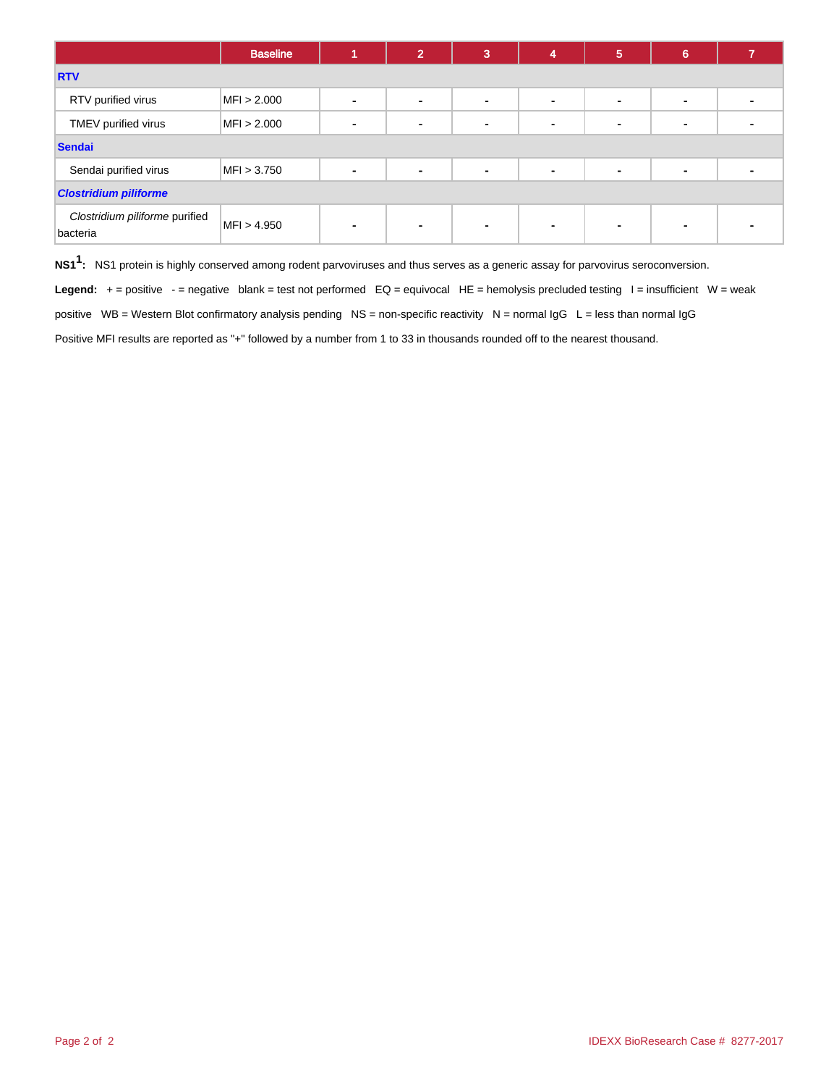|                                            | <b>Baseline</b> |                          | $\overline{2}$ | 3              | 4              | $5\phantom{1}$ | 6              |  |
|--------------------------------------------|-----------------|--------------------------|----------------|----------------|----------------|----------------|----------------|--|
| <b>RTV</b>                                 |                 |                          |                |                |                |                |                |  |
| RTV purified virus                         | MFI > 2.000     | ۰                        | ۰              | ۰              | ٠              |                | $\blacksquare$ |  |
| TMEV purified virus                        | MFI > 2.000     | $\blacksquare$           | $\blacksquare$ | $\blacksquare$ | $\blacksquare$ |                | $\blacksquare$ |  |
| <b>Sendai</b>                              |                 |                          |                |                |                |                |                |  |
| Sendai purified virus                      | MFI > 3.750     | $\blacksquare$           | $\blacksquare$ | $\blacksquare$ | $\blacksquare$ |                | $\blacksquare$ |  |
| <b>Clostridium piliforme</b>               |                 |                          |                |                |                |                |                |  |
| Clostridium piliforme purified<br>bacteria | MFI > 4.950     | $\overline{\phantom{0}}$ | $\blacksquare$ | $\blacksquare$ | $\blacksquare$ |                | $\blacksquare$ |  |

**NS11 :** NS1 protein is highly conserved among rodent parvoviruses and thus serves as a generic assay for parvovirus seroconversion.

Legend: + = positive - = negative blank = test not performed EQ = equivocal HE = hemolysis precluded testing I = insufficient W = weak

positive WB = Western Blot confirmatory analysis pending NS = non-specific reactivity N = normal IgG L = less than normal IgG

Positive MFI results are reported as "+" followed by a number from 1 to 33 in thousands rounded off to the nearest thousand.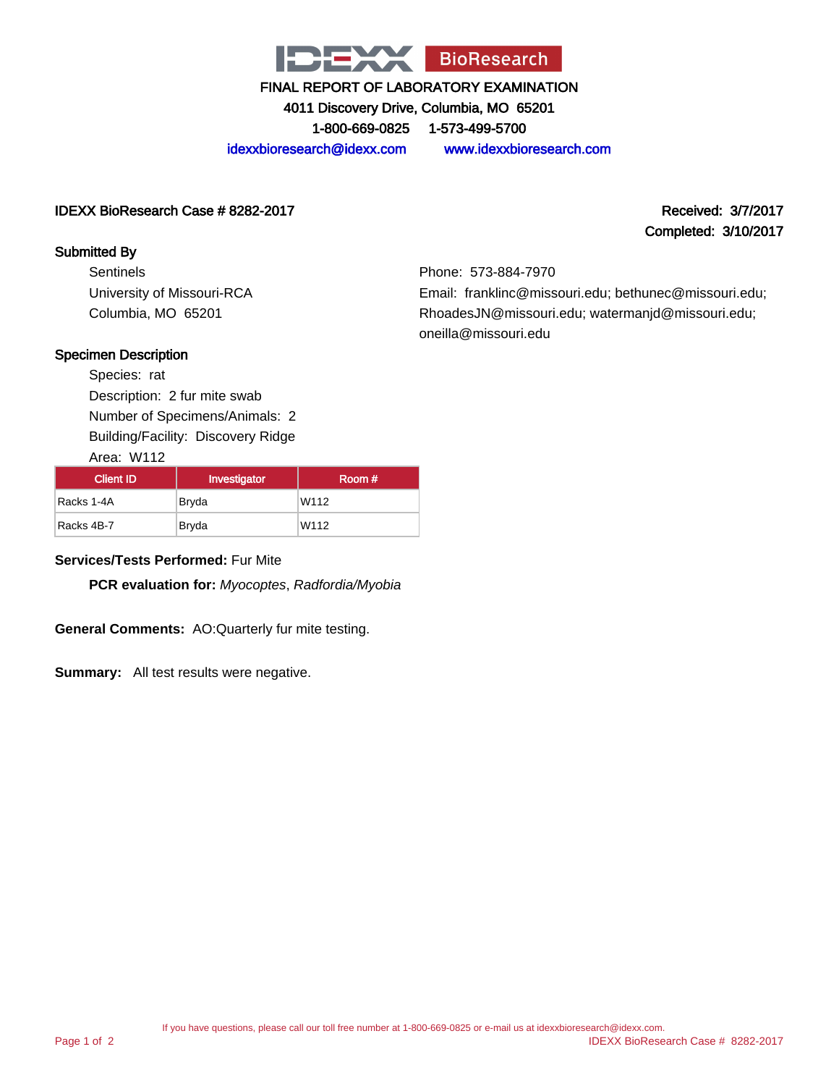

4011 Discovery Drive, Columbia, MO 65201

1-800-669-0825 1-573-499-5700

idexxbioresearch@idexx.com www.idexxbioresearch.com

## IDEXX BioResearch Case # 8282-2017 Received: 3/7/2017

## Submitted By

**Sentinels** University of Missouri-RCA Columbia, MO 65201

# Completed: 3/10/2017

Phone: 573-884-7970 Email: franklinc@missouri.edu; bethunec@missouri.edu; RhoadesJN@missouri.edu; watermanjd@missouri.edu; oneilla@missouri.edu

## Specimen Description

Species: rat Description: 2 fur mite swab Number of Specimens/Animals: 2 Building/Facility: Discovery Ridge

Area: W112

| Client ID  | Investigator | Room # |
|------------|--------------|--------|
| Racks 1-4A | Bryda        | W112   |
| Racks 4B-7 | Bryda        | W112   |

## **Services/Tests Performed:** Fur Mite

**PCR evaluation for:** Myocoptes, Radfordia/Myobia

**General Comments:** AO:Quarterly fur mite testing.

**Summary:** All test results were negative.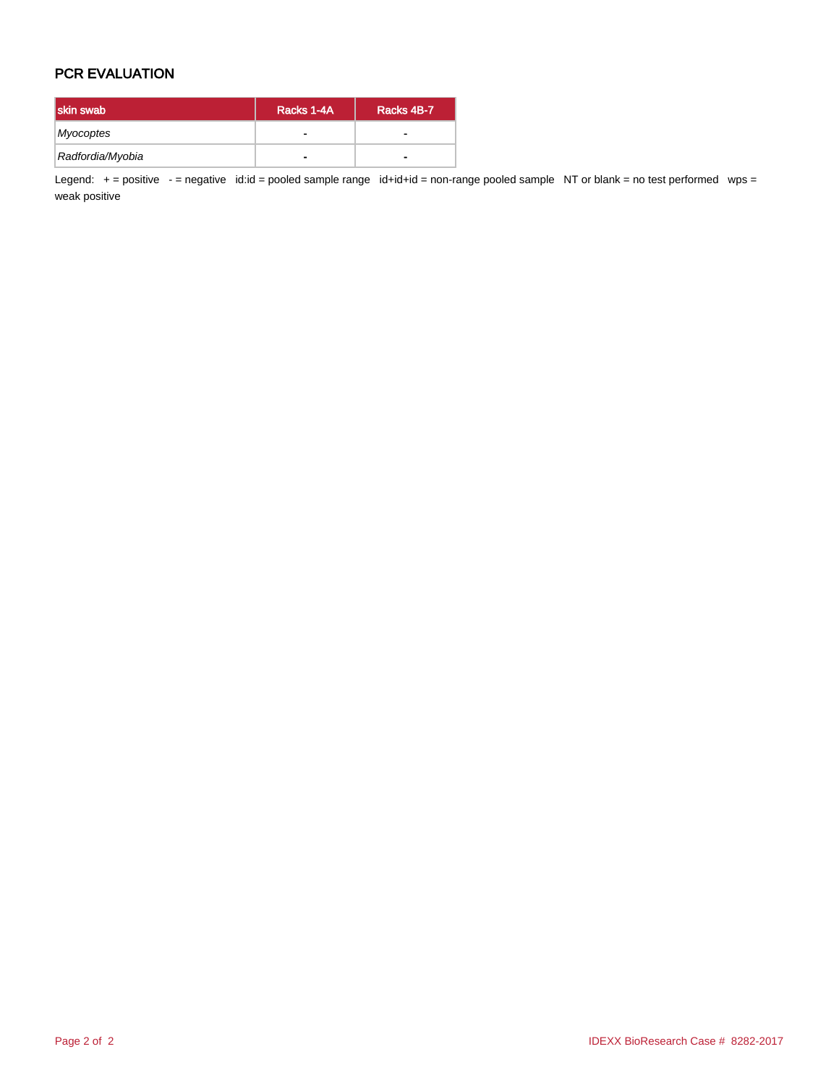# PCR EVALUATION

| skin swab        | Racks 1-4A | Racks 4B-7 |
|------------------|------------|------------|
| Myocoptes        | -          |            |
| Radfordia/Myobia | -          | -          |

Legend: + = positive - = negative id:id = pooled sample range id+id+id = non-range pooled sample NT or blank = no test performed wps = weak positive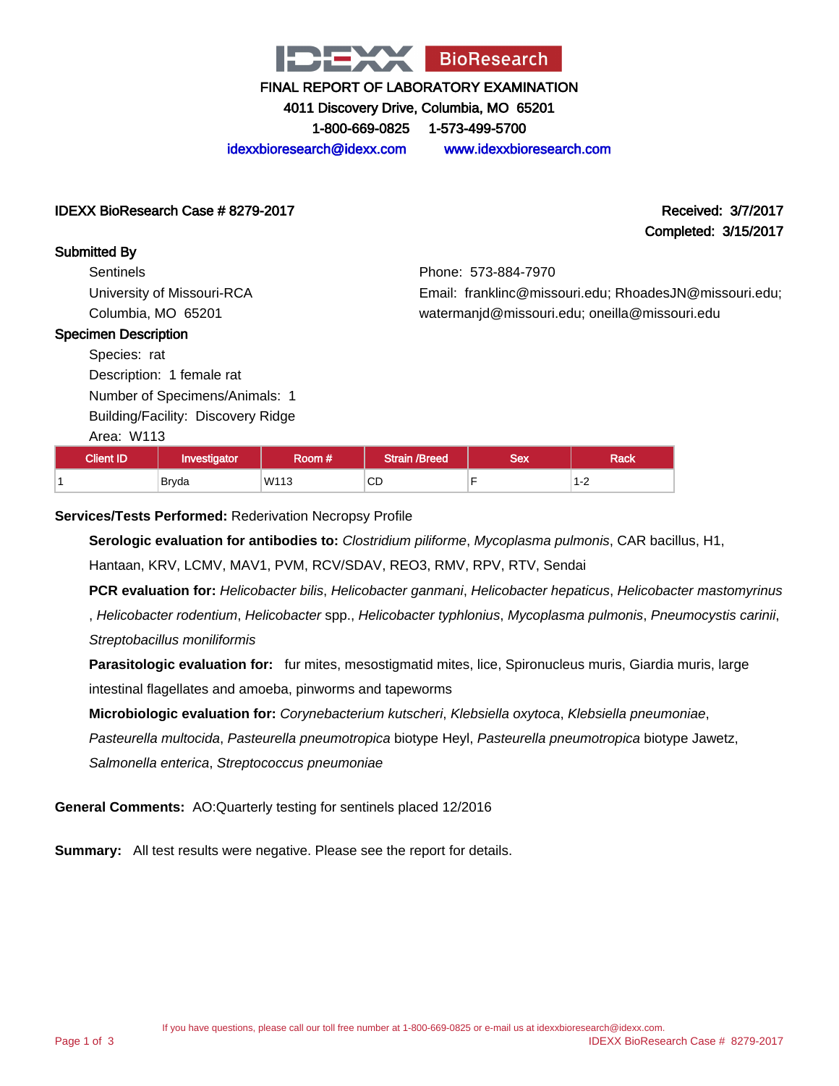

4011 Discovery Drive, Columbia, MO 65201

1-800-669-0825 1-573-499-5700

idexxbioresearch@idexx.com www.idexxbioresearch.com

Phone: 573-884-7970

Email: franklinc@missouri.edu; RhoadesJN@missouri.edu;

watermanjd@missouri.edu; oneilla@missouri.edu

## IDEXX BioResearch Case # 8279-2017 Received: 3/7/2017

Completed: 3/15/2017

## Submitted By

**Sentinels** University of Missouri-RCA Columbia, MO 65201

### Specimen Description

Species: rat

Description: 1 female rat Number of Specimens/Animals: 1

Building/Facility: Discovery Ridge

Area: W113

| <b>Client ID</b> | <b>Investigator</b> | Room # ' | Strain /Breed | Sex | Rack                                       |
|------------------|---------------------|----------|---------------|-----|--------------------------------------------|
|                  | <b>Brvda</b>        | W113     | <b>CD</b>     |     | $\sim$<br>ے- ا<br>$\overline{\phantom{0}}$ |

## **Services/Tests Performed:** Rederivation Necropsy Profile

**Serologic evaluation for antibodies to:** Clostridium piliforme, Mycoplasma pulmonis, CAR bacillus, H1,

Hantaan, KRV, LCMV, MAV1, PVM, RCV/SDAV, REO3, RMV, RPV, RTV, Sendai

**PCR evaluation for:** Helicobacter bilis, Helicobacter ganmani, Helicobacter hepaticus, Helicobacter mastomyrinus

, Helicobacter rodentium, Helicobacter spp., Helicobacter typhlonius, Mycoplasma pulmonis, Pneumocystis carinii, Streptobacillus moniliformis

**Parasitologic evaluation for:** fur mites, mesostigmatid mites, lice, Spironucleus muris, Giardia muris, large intestinal flagellates and amoeba, pinworms and tapeworms

**Microbiologic evaluation for:** Corynebacterium kutscheri, Klebsiella oxytoca, Klebsiella pneumoniae,

Pasteurella multocida, Pasteurella pneumotropica biotype Heyl, Pasteurella pneumotropica biotype Jawetz,

Salmonella enterica, Streptococcus pneumoniae

**General Comments:** AO:Quarterly testing for sentinels placed 12/2016

**Summary:** All test results were negative. Please see the report for details.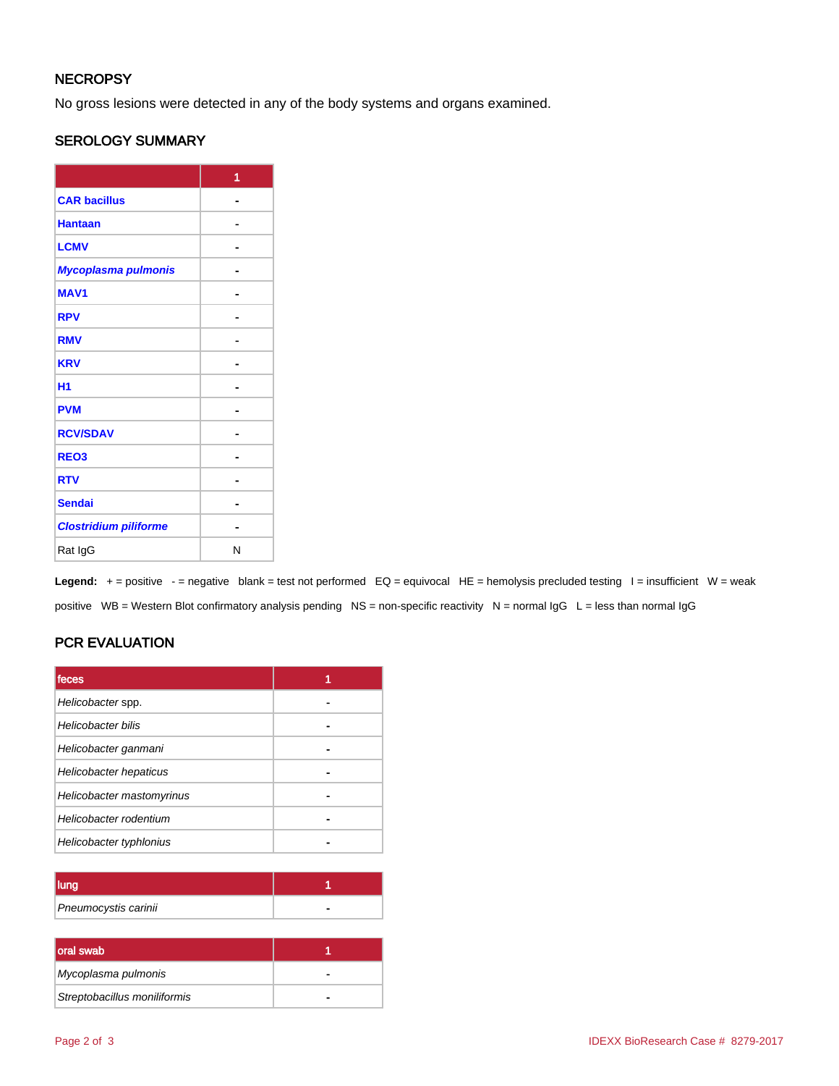# **NECROPSY**

No gross lesions were detected in any of the body systems and organs examined.

## SEROLOGY SUMMARY

|                              | 1 |
|------------------------------|---|
| <b>CAR bacillus</b>          |   |
| <b>Hantaan</b>               |   |
| <b>LCMV</b>                  |   |
| Mycoplasma pulmonis          |   |
| <b>MAV1</b>                  |   |
| <b>RPV</b>                   |   |
| <b>RMV</b>                   |   |
| <b>KRV</b>                   |   |
| H <sub>1</sub>               |   |
| <b>PVM</b>                   |   |
| <b>RCV/SDAV</b>              |   |
| REO <sub>3</sub>             |   |
| <b>RTV</b>                   |   |
| <b>Sendai</b>                |   |
| <b>Clostridium piliforme</b> |   |
| Rat IgG                      | N |

Legend: + = positive - = negative blank = test not performed EQ = equivocal HE = hemolysis precluded testing I = insufficient W = weak positive WB = Western Blot confirmatory analysis pending NS = non-specific reactivity N = normal IgG L = less than normal IgG

# PCR EVALUATION

| <b>Ifeces</b>             |  |
|---------------------------|--|
| Helicobacter spp.         |  |
| <b>Helicobacter bilis</b> |  |
| Helicobacter ganmani      |  |
| Helicobacter hepaticus    |  |
| Helicobacter mastomyrinus |  |
| Helicobacter rodentium    |  |
| Helicobacter typhlonius   |  |

| Pneumocystis carinii |  |
|----------------------|--|

| oral swab                    |  |
|------------------------------|--|
| Mycoplasma pulmonis          |  |
| Streptobacillus moniliformis |  |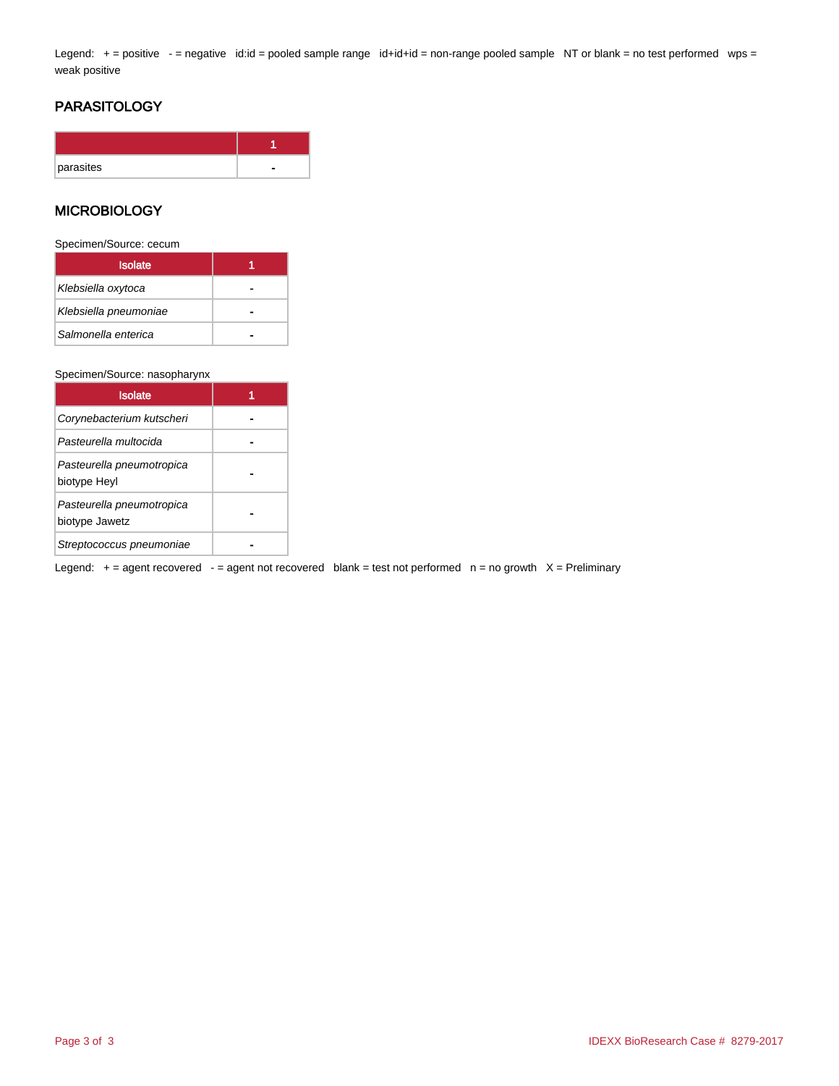Legend: + = positive - = negative id:id = pooled sample range id+id+id = non-range pooled sample NT or blank = no test performed wps = weak positive

# PARASITOLOGY

| parasites |  |
|-----------|--|

## **MICROBIOLOGY**

Specimen/Source: cecum

| <b>Isolate</b>        |  |
|-----------------------|--|
| Klebsiella oxytoca    |  |
| Klebsiella pneumoniae |  |
| Salmonella enterica   |  |

#### Specimen/Source: nasopharynx

| <b>Isolate</b>                              |  |
|---------------------------------------------|--|
| Corynebacterium kutscheri                   |  |
| Pasteurella multocida                       |  |
| Pasteurella pneumotropica<br>biotype Heyl   |  |
| Pasteurella pneumotropica<br>biotype Jawetz |  |
| Streptococcus pneumoniae                    |  |

Legend:  $+$  = agent recovered  $-$  = agent not recovered blank = test not performed  $n$  = no growth  $X$  = Preliminary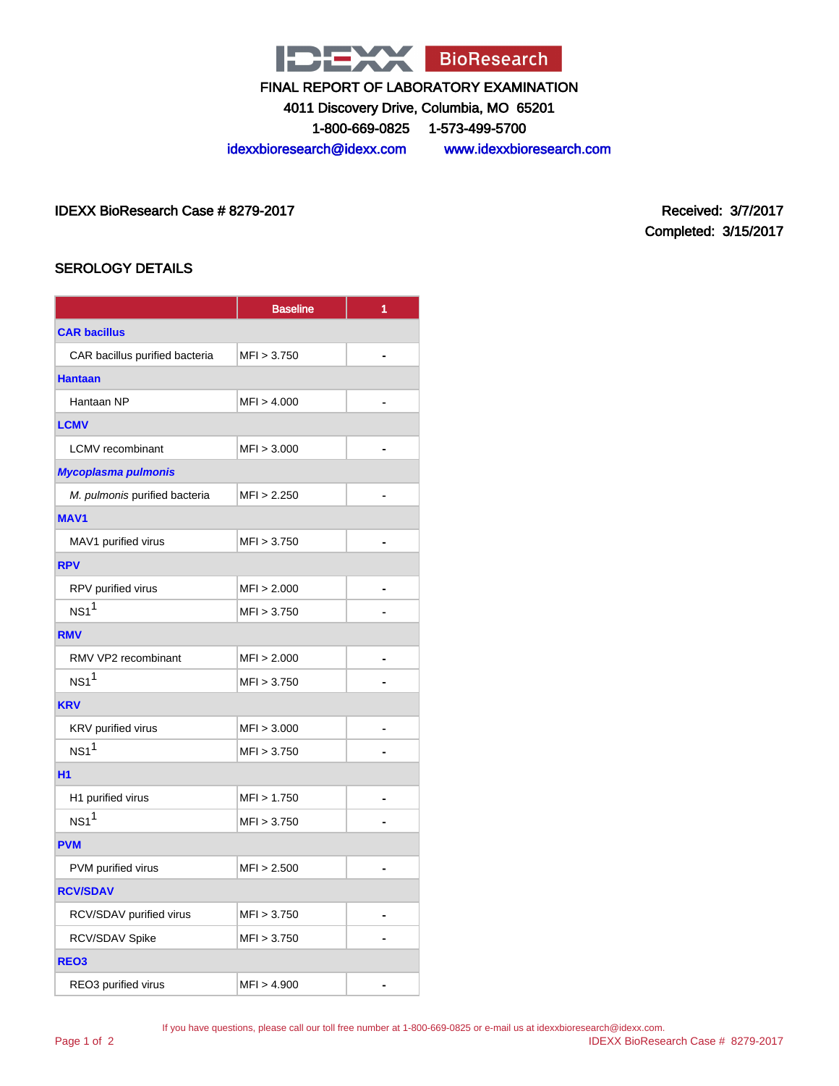

4011 Discovery Drive, Columbia, MO 65201

1-800-669-0825 1-573-499-5700

idexxbioresearch@idexx.com www.idexxbioresearch.com

IDEXX BioResearch Case # 8279-2017 Received: 3/7/2017

Completed: 3/15/2017

# SEROLOGY DETAILS

|                                | <b>Baseline</b> | 1 |  |
|--------------------------------|-----------------|---|--|
| <b>CAR bacillus</b>            |                 |   |  |
| CAR bacillus purified bacteria | MFI > 3.750     | - |  |
| <b>Hantaan</b>                 |                 |   |  |
| Hantaan NP                     | MFI > 4.000     |   |  |
| <b>LCMV</b>                    |                 |   |  |
| <b>LCMV</b> recombinant        | MFI > 3.000     | - |  |
| <b>Mycoplasma pulmonis</b>     |                 |   |  |
| M. pulmonis purified bacteria  | MFI > 2.250     |   |  |
| <b>MAV1</b>                    |                 |   |  |
| MAV1 purified virus            | MFI > 3.750     |   |  |
| <b>RPV</b>                     |                 |   |  |
| RPV purified virus             | MFI > 2.000     |   |  |
| $NS1^1$                        | MFI > 3.750     |   |  |
| <b>RMV</b>                     |                 |   |  |
| RMV VP2 recombinant            | MFI > 2.000     |   |  |
| NS1 <sup>1</sup>               | MFI > 3.750     |   |  |
| <b>KRV</b>                     |                 |   |  |
| KRV purified virus             | MFI > 3.000     | - |  |
| $NS1^1$                        | MFI > 3.750     |   |  |
| <b>H1</b>                      |                 |   |  |
| H1 purified virus              | MFI > 1.750     |   |  |
| NS1 <sup>1</sup>               | MFI > 3.750     |   |  |
| <b>PVM</b>                     |                 |   |  |
| PVM purified virus             | MFI > 2.500     |   |  |
| <b>RCV/SDAV</b>                |                 |   |  |
| RCV/SDAV purified virus        | MFI > 3.750     |   |  |
| RCV/SDAV Spike                 | MFI > 3.750     |   |  |
| REO <sub>3</sub>               |                 |   |  |
| REO3 purified virus            | MFI > 4.900     |   |  |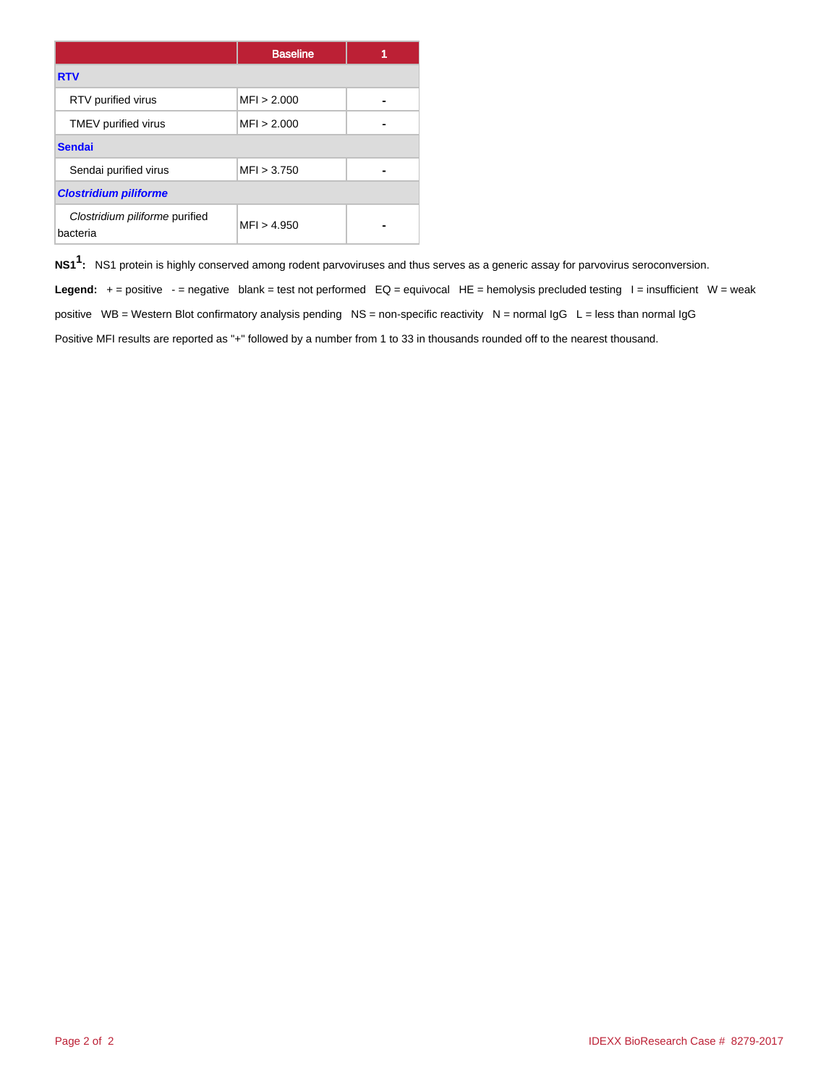|                                            | <b>Baseline</b> |  |
|--------------------------------------------|-----------------|--|
| <b>RTV</b>                                 |                 |  |
| RTV purified virus                         | MFI > 2.000     |  |
| TMEV purified virus                        | MFI > 2.000     |  |
| <b>Sendai</b>                              |                 |  |
| Sendai purified virus                      | MFI > 3.750     |  |
| <b>Clostridium piliforme</b>               |                 |  |
| Clostridium piliforme purified<br>bacteria | MFI > 4.950     |  |

**NS11 :** NS1 protein is highly conserved among rodent parvoviruses and thus serves as a generic assay for parvovirus seroconversion.

Legend: + = positive - = negative blank = test not performed EQ = equivocal HE = hemolysis precluded testing I = insufficient W = weak positive WB = Western Blot confirmatory analysis pending NS = non-specific reactivity N = normal  $\lg G$  L = less than normal  $\lg G$ Positive MFI results are reported as "+" followed by a number from 1 to 33 in thousands rounded off to the nearest thousand.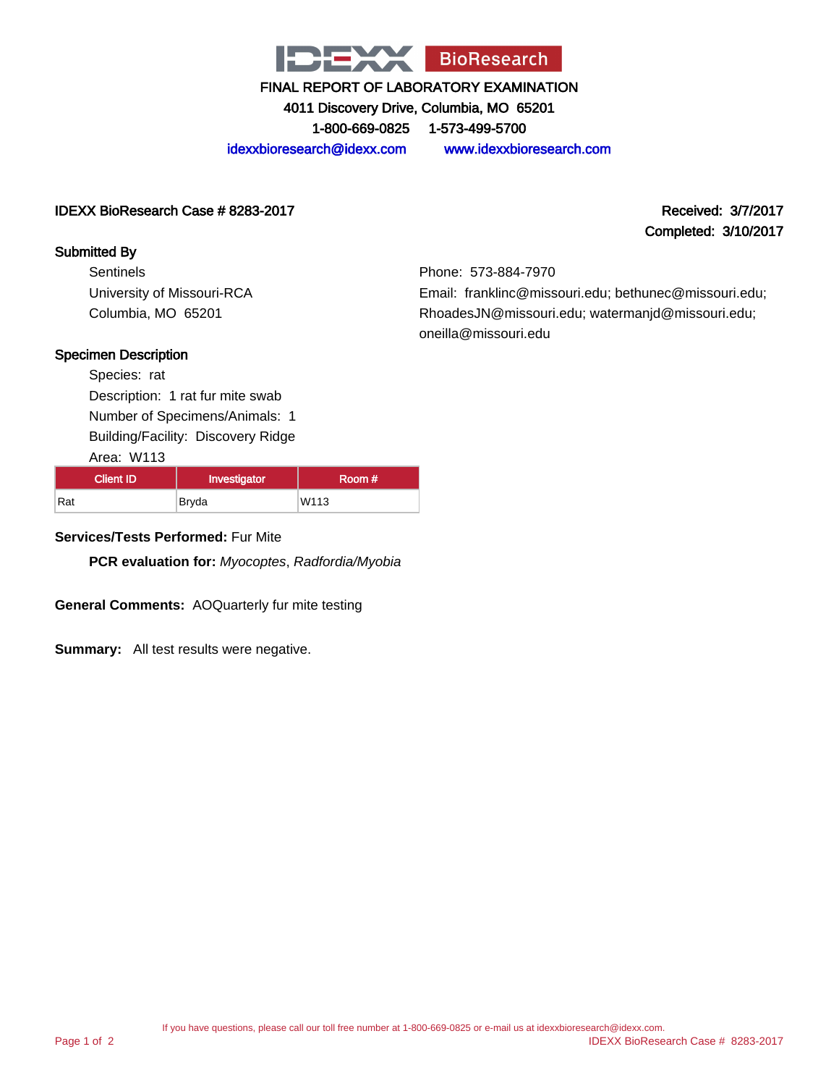

4011 Discovery Drive, Columbia, MO 65201 1-800-669-0825 1-573-499-5700

idexxbioresearch@idexx.com www.idexxbioresearch.com

## IDEXX BioResearch Case # 8283-2017 Received: 3/7/2017

## Submitted By

**Sentinels** University of Missouri-RCA Columbia, MO 65201

Completed: 3/10/2017

Phone: 573-884-7970 Email: franklinc@missouri.edu; bethunec@missouri.edu; RhoadesJN@missouri.edu; watermanjd@missouri.edu; oneilla@missouri.edu

## Specimen Description

Species: rat Description: 1 rat fur mite swab Number of Specimens/Animals: 1 Building/Facility: Discovery Ridge

Area: W113

| <b>Client ID</b> | Investigator | Room # |
|------------------|--------------|--------|
| Rat              | Bryda        | W113   |

## **Services/Tests Performed:** Fur Mite

**PCR evaluation for:** Myocoptes, Radfordia/Myobia

**General Comments:** AOQuarterly fur mite testing

**Summary:** All test results were negative.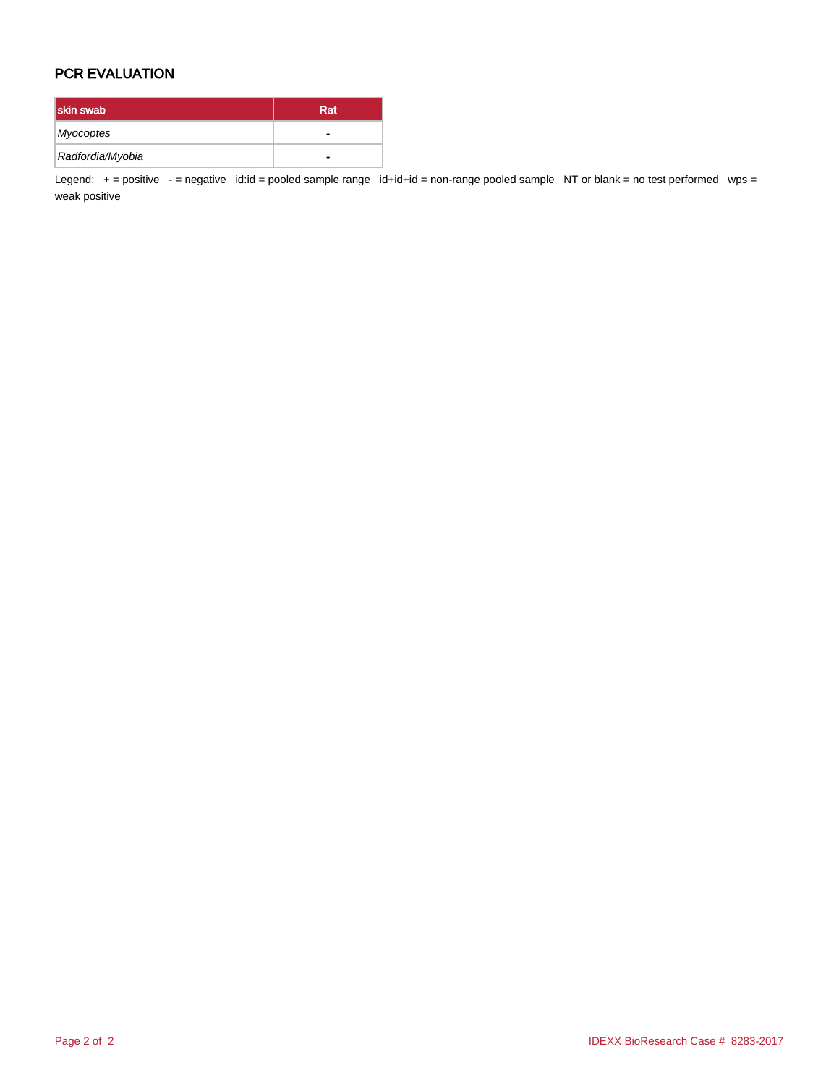# PCR EVALUATION

| skin swab        | Rat |
|------------------|-----|
| Myocoptes        | -   |
| Radfordia/Myobia | -   |

Legend:  $+=$  positive  $-$  = negative id:id = pooled sample range id+id+id = non-range pooled sample NT or blank = no test performed wps = weak positive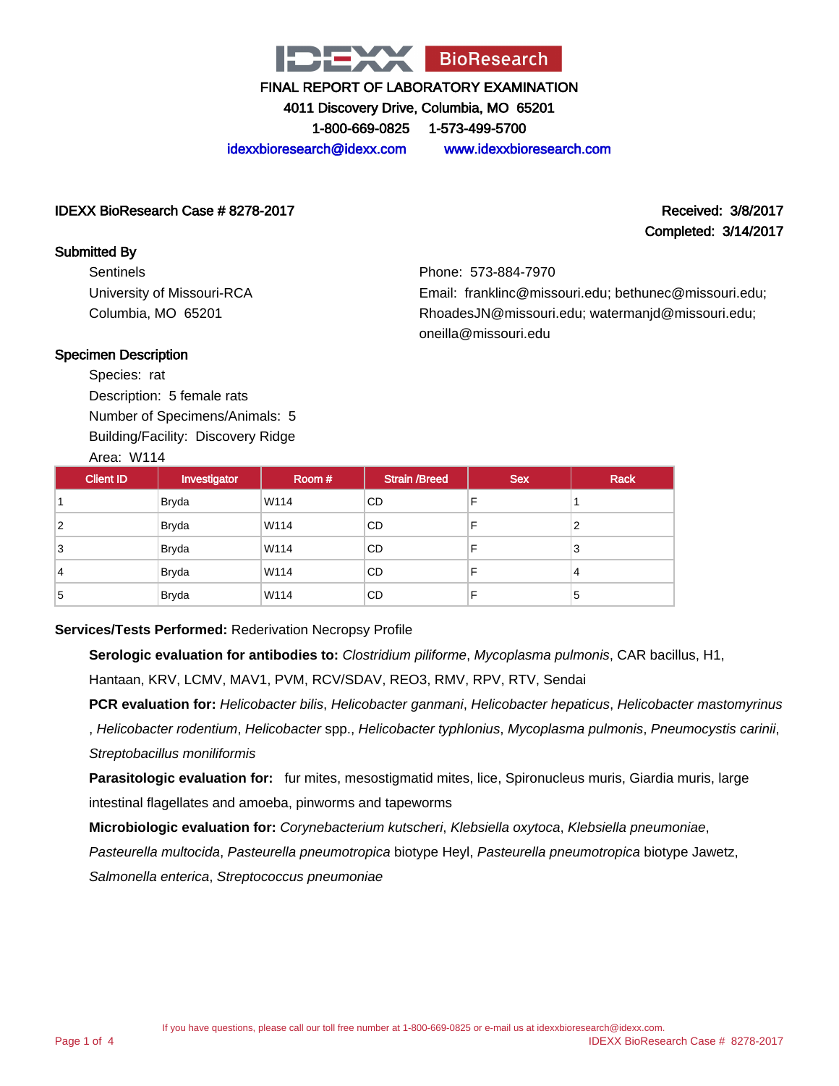

4011 Discovery Drive, Columbia, MO 65201

1-800-669-0825 1-573-499-5700

idexxbioresearch@idexx.com www.idexxbioresearch.com

## IDEXX BioResearch Case # 8278-2017 Received: 3/8/2017

# Completed: 3/14/2017

Submitted By **Sentinels** University of Missouri-RCA Columbia, MO 65201

Phone: 573-884-7970 Email: franklinc@missouri.edu; bethunec@missouri.edu; RhoadesJN@missouri.edu; watermanjd@missouri.edu; oneilla@missouri.edu

## Specimen Description

Species: rat Description: 5 female rats Number of Specimens/Animals: 5 Building/Facility: Discovery Ridge Area: W114

| <b>Client ID</b> | Investigator | Room # | <b>Strain /Breed</b> | <b>Sex</b> | <b>Rack</b> |
|------------------|--------------|--------|----------------------|------------|-------------|
|                  | <b>Bryda</b> | W114   | CD.                  | F          |             |
| $\overline{2}$   | <b>Bryda</b> | W114   | CD                   | F          | 2           |
| 3                | <b>Bryda</b> | W114   | CD                   | F          | 3           |
| 4                | <b>Bryda</b> | W114   | CD                   | F          | 4           |
| 5                | <b>Bryda</b> | W114   | CD.                  | F          | 5           |

## **Services/Tests Performed:** Rederivation Necropsy Profile

**Serologic evaluation for antibodies to:** Clostridium piliforme, Mycoplasma pulmonis, CAR bacillus, H1, Hantaan, KRV, LCMV, MAV1, PVM, RCV/SDAV, REO3, RMV, RPV, RTV, Sendai

**PCR evaluation for:** Helicobacter bilis, Helicobacter ganmani, Helicobacter hepaticus, Helicobacter mastomyrinus , Helicobacter rodentium, Helicobacter spp., Helicobacter typhlonius, Mycoplasma pulmonis, Pneumocystis carinii, Streptobacillus moniliformis

**Parasitologic evaluation for:** fur mites, mesostigmatid mites, lice, Spironucleus muris, Giardia muris, large intestinal flagellates and amoeba, pinworms and tapeworms

**Microbiologic evaluation for:** Corynebacterium kutscheri, Klebsiella oxytoca, Klebsiella pneumoniae,

Pasteurella multocida, Pasteurella pneumotropica biotype Heyl, Pasteurella pneumotropica biotype Jawetz,

Salmonella enterica, Streptococcus pneumoniae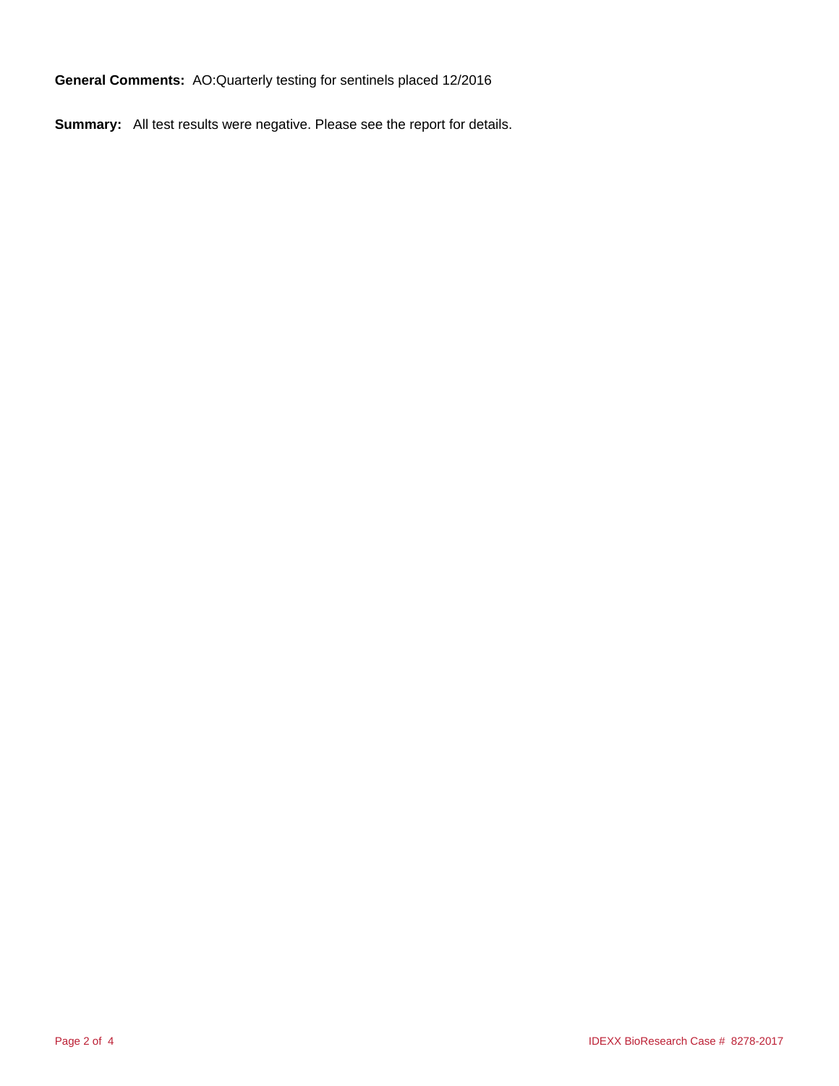**General Comments:** AO:Quarterly testing for sentinels placed 12/2016

**Summary:** All test results were negative. Please see the report for details.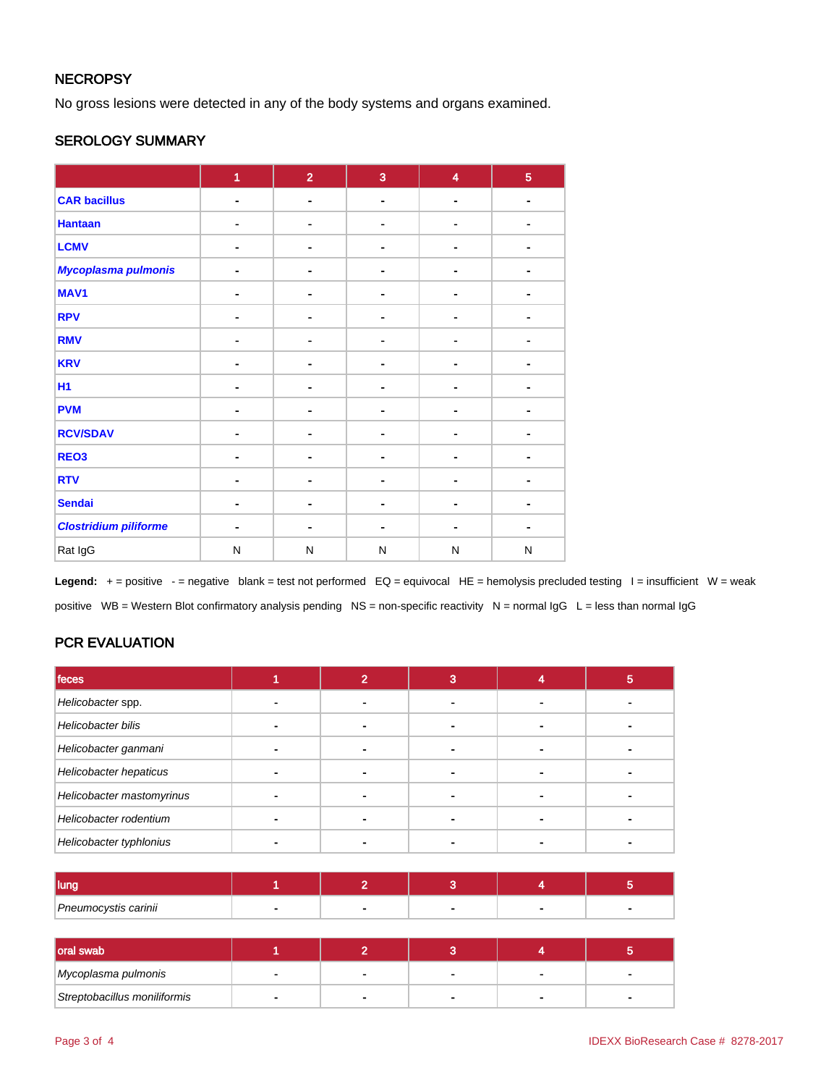## **NECROPSY**

No gross lesions were detected in any of the body systems and organs examined.

## SEROLOGY SUMMARY

|                              | 1              | $\overline{2}$ | 3              | $\overline{\mathbf{4}}$ | $\overline{5}$ |
|------------------------------|----------------|----------------|----------------|-------------------------|----------------|
| <b>CAR bacillus</b>          | $\blacksquare$ | $\blacksquare$ |                | $\blacksquare$          | $\blacksquare$ |
| <b>Hantaan</b>               |                | ۰              |                |                         |                |
| <b>LCMV</b>                  |                | -              |                |                         |                |
| <b>Mycoplasma pulmonis</b>   |                | ۰              |                |                         |                |
| MAV1                         |                | ٠              | $\blacksquare$ | ٠                       |                |
| <b>RPV</b>                   |                | -              |                | $\blacksquare$          |                |
| <b>RMV</b>                   |                | $\blacksquare$ |                |                         |                |
| <b>KRV</b>                   |                | ۰              | ۰              | $\blacksquare$          |                |
| <b>H1</b>                    |                | -              | ۰              |                         |                |
| <b>PVM</b>                   | $\blacksquare$ | $\blacksquare$ | $\blacksquare$ | $\blacksquare$          |                |
| <b>RCV/SDAV</b>              |                | ۰              |                |                         |                |
| REO <sub>3</sub>             |                |                |                |                         |                |
| <b>RTV</b>                   |                | ٠              |                | ٠                       |                |
| <b>Sendai</b>                |                | ۰              | $\blacksquare$ | ٠                       |                |
| <b>Clostridium piliforme</b> | $\blacksquare$ | ۰              | -              | $\blacksquare$          |                |
| Rat IgG                      | N              | N              | N              | N                       | N              |

Legend: + = positive - = negative blank = test not performed EQ = equivocal HE = hemolysis precluded testing I = insufficient W = weak positive WB = Western Blot confirmatory analysis pending NS = non-specific reactivity N = normal IgG L = less than normal IgG

# PCR EVALUATION

| feces                     |  | 3 | ю |
|---------------------------|--|---|---|
| Helicobacter spp.         |  |   |   |
| Helicobacter bilis        |  |   |   |
| Helicobacter ganmani      |  |   |   |
| Helicobacter hepaticus    |  |   |   |
| Helicobacter mastomyrinus |  |   |   |
| Helicobacter rodentium    |  |   |   |
| Helicobacter typhlonius   |  |   |   |

| <b>lung</b>          |  |  |  |
|----------------------|--|--|--|
| Pneumocystis carinii |  |  |  |

| oral swab                    |                          |        |  |
|------------------------------|--------------------------|--------|--|
| Mycoplasma pulmonis          | $\overline{\phantom{a}}$ | $\sim$ |  |
| Streptobacillus moniliformis |                          |        |  |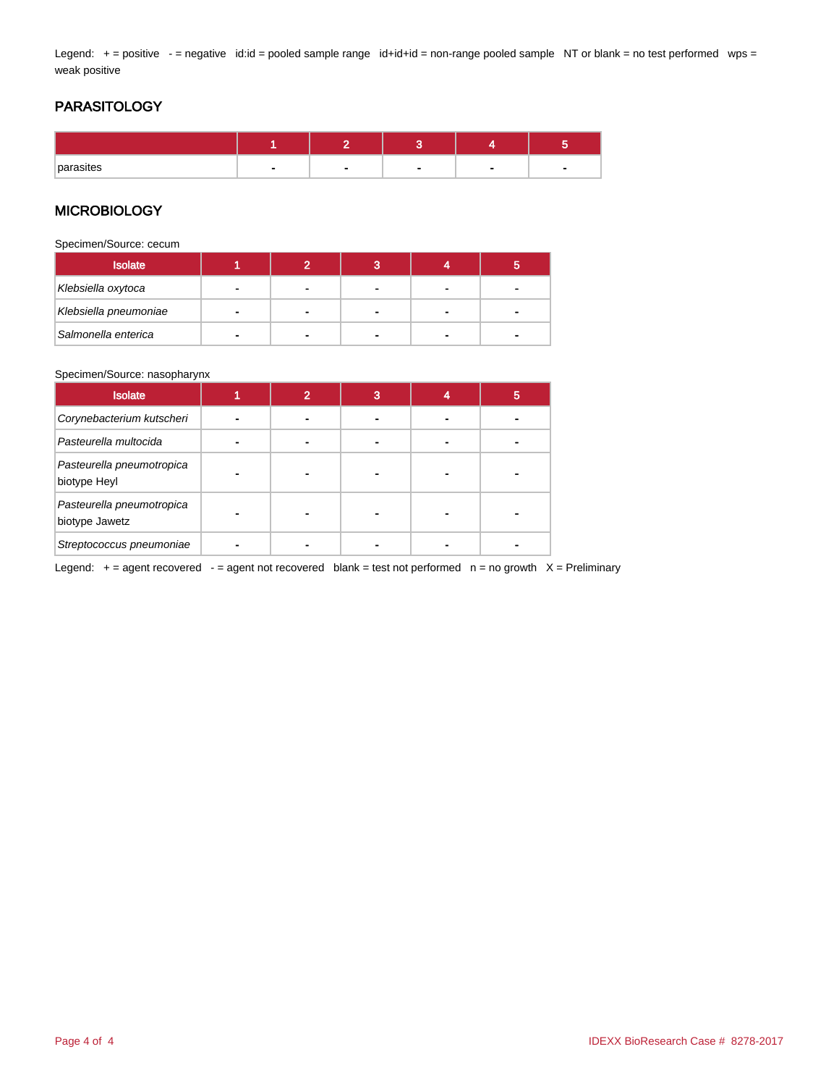Legend: + = positive - = negative id:id = pooled sample range id+id+id = non-range pooled sample NT or blank = no test performed wps = weak positive

# PARASITOLOGY

| parasites | $\overline{\phantom{0}}$ | - | - |
|-----------|--------------------------|---|---|

## **MICROBIOLOGY**

Specimen/Source: cecum

| <b>Isolate</b>        |  | o<br>ю |  |
|-----------------------|--|--------|--|
| Klebsiella oxytoca    |  |        |  |
| Klebsiella pneumoniae |  |        |  |
| Salmonella enterica   |  |        |  |

#### Specimen/Source: nasopharynx

| <b>Isolate</b>                              | 2 | 3 | 5 |
|---------------------------------------------|---|---|---|
| Corynebacterium kutscheri                   |   |   |   |
| Pasteurella multocida                       |   |   |   |
| Pasteurella pneumotropica<br>biotype Heyl   |   |   |   |
| Pasteurella pneumotropica<br>biotype Jawetz |   | - |   |
| Streptococcus pneumoniae                    |   |   |   |

Legend:  $+$  = agent recovered  $-$  = agent not recovered blank = test not performed  $n$  = no growth  $X$  = Preliminary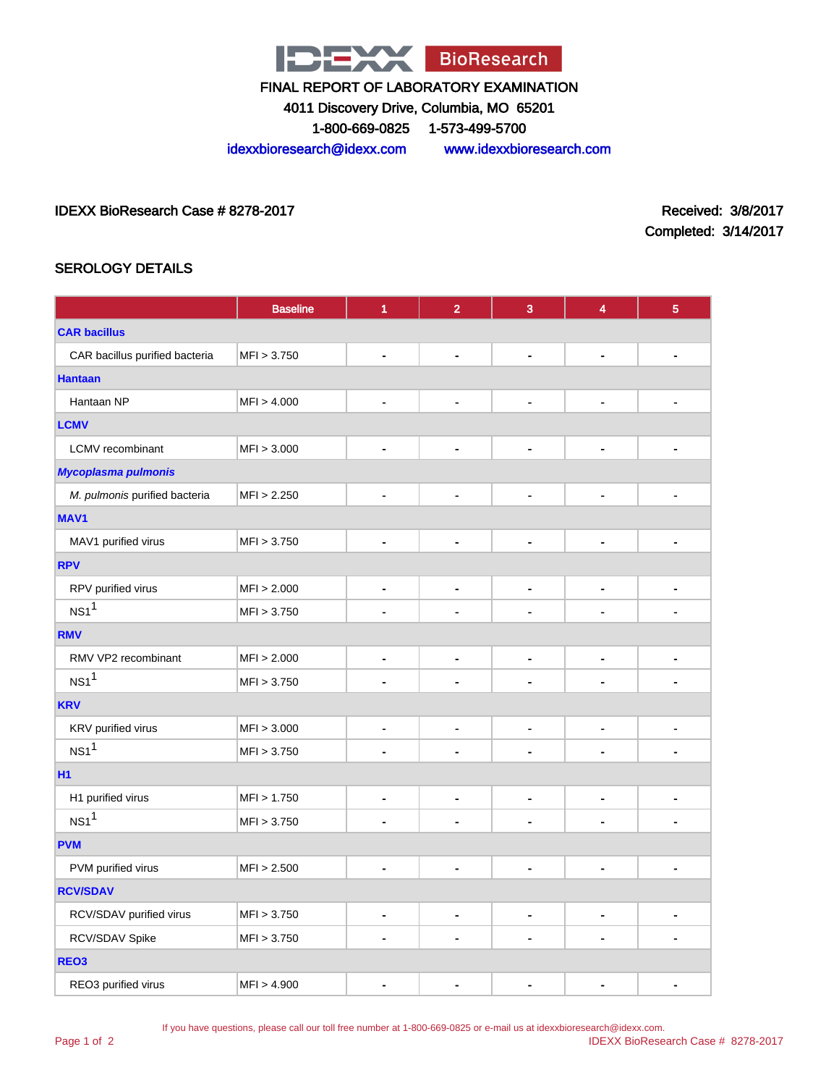

4011 Discovery Drive, Columbia, MO 65201

1-800-669-0825 1-573-499-5700

idexxbioresearch@idexx.com www.idexxbioresearch.com

IDEXX BioResearch Case # 8278-2017 Received: 3/8/2017

Completed: 3/14/2017

# SEROLOGY DETAILS

|                                | <b>Baseline</b> | 1                            | $\overline{2}$ | 3                        | $\overline{\mathbf{4}}$  | $\overline{5}$ |
|--------------------------------|-----------------|------------------------------|----------------|--------------------------|--------------------------|----------------|
| <b>CAR bacillus</b>            |                 |                              |                |                          |                          |                |
| CAR bacillus purified bacteria | MFI > 3.750     | $\qquad \qquad \blacksquare$ | $\blacksquare$ | ÷,                       | -                        | $\blacksquare$ |
| <b>Hantaan</b>                 |                 |                              |                |                          |                          |                |
| Hantaan NP                     | MFI > 4.000     | -                            | $\blacksquare$ | -                        | $\blacksquare$           |                |
| <b>LCMV</b>                    |                 |                              |                |                          |                          |                |
| LCMV recombinant               | MFI > 3.000     | $\qquad \qquad \blacksquare$ | $\blacksquare$ | $\blacksquare$           | $\blacksquare$           | $\blacksquare$ |
| Mycoplasma pulmonis            |                 |                              |                |                          |                          |                |
| M. pulmonis purified bacteria  | MFI > 2.250     | $\qquad \qquad \blacksquare$ | $\blacksquare$ | $\blacksquare$           | $\overline{a}$           |                |
| MAV1                           |                 |                              |                |                          |                          |                |
| MAV1 purified virus            | MFI > 3.750     | $\blacksquare$               | $\blacksquare$ | ۰                        | -                        | $\blacksquare$ |
| <b>RPV</b>                     |                 |                              |                |                          |                          |                |
| RPV purified virus             | MFI > 2.000     | ۰                            | $\blacksquare$ | $\blacksquare$           | $\overline{\phantom{0}}$ | $\blacksquare$ |
| NS1 <sup>1</sup>               | MFI > 3.750     |                              |                |                          |                          |                |
| <b>RMV</b>                     |                 |                              |                |                          |                          |                |
| RMV VP2 recombinant            | MFI > 2.000     | $\qquad \qquad \blacksquare$ | $\blacksquare$ | $\blacksquare$           | $\overline{\phantom{0}}$ | $\blacksquare$ |
| NS1 <sup>1</sup>               | MFI > 3.750     | ä.                           |                |                          |                          |                |
| <b>KRV</b>                     |                 |                              |                |                          |                          |                |
| KRV purified virus             | MFI > 3.000     | -                            | $\blacksquare$ | $\blacksquare$           | $\overline{\phantom{0}}$ | -              |
| NS1 <sup>1</sup>               | MFI > 3.750     | ä,                           |                |                          |                          |                |
| H1                             |                 |                              |                |                          |                          |                |
| H1 purified virus              | MFI > 1.750     |                              | $\blacksquare$ | -                        | -                        | $\blacksquare$ |
| NS1 <sup>1</sup>               | MFI > 3.750     | $\blacksquare$               | ٠              | $\blacksquare$           | ÷                        | $\blacksquare$ |
| <b>PVM</b>                     |                 |                              |                |                          |                          |                |
| PVM purified virus             | MFI > 2.500     | -                            | $\blacksquare$ | $\overline{\phantom{0}}$ | -                        | $\blacksquare$ |
| <b>RCV/SDAV</b>                |                 |                              |                |                          |                          |                |
| RCV/SDAV purified virus        | MFI > 3.750     | $\qquad \qquad \blacksquare$ | $\blacksquare$ | ٠                        | $\overline{\phantom{0}}$ | -              |
| RCV/SDAV Spike                 | MFI > 3.750     | -                            |                |                          |                          | $\blacksquare$ |
| REO <sub>3</sub>               |                 |                              |                |                          |                          |                |
| REO3 purified virus            | MFI > 4.900     | $\blacksquare$               |                |                          |                          | $\blacksquare$ |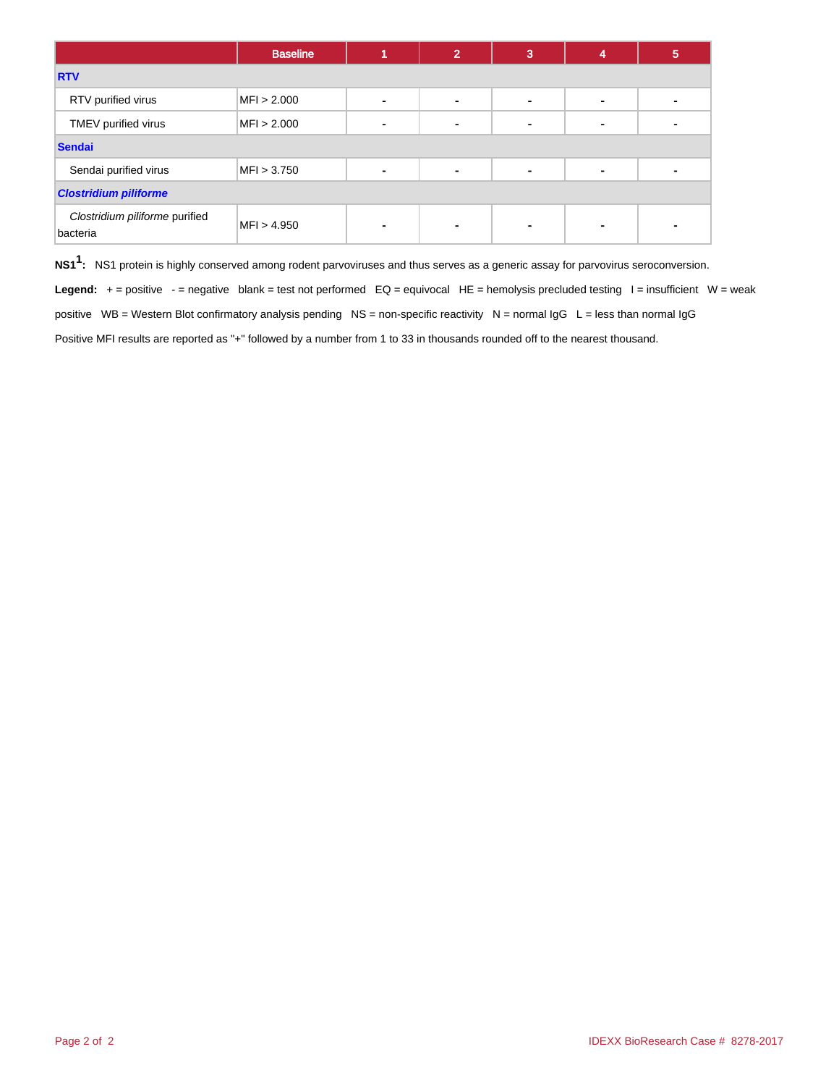|                                            | <b>Baseline</b> |                | 2 | 3 | 4              | 5 |  |  |
|--------------------------------------------|-----------------|----------------|---|---|----------------|---|--|--|
| <b>RTV</b>                                 |                 |                |   |   |                |   |  |  |
| RTV purified virus                         | MFI > 2.000     | $\blacksquare$ |   | - | $\blacksquare$ |   |  |  |
| TMEV purified virus                        | MFI > 2.000     | ٠              |   |   | $\blacksquare$ |   |  |  |
| <b>Sendai</b>                              |                 |                |   |   |                |   |  |  |
| Sendai purified virus                      | MFI > 3.750     | ۰              |   | ٠ | ٠              |   |  |  |
| <b>Clostridium piliforme</b>               |                 |                |   |   |                |   |  |  |
| Clostridium piliforme purified<br>bacteria | MFI > 4.950     | ٠              |   |   | $\blacksquare$ |   |  |  |

**NS11 :** NS1 protein is highly conserved among rodent parvoviruses and thus serves as a generic assay for parvovirus seroconversion.

Legend: + = positive - = negative blank = test not performed EQ = equivocal HE = hemolysis precluded testing I = insufficient W = weak positive WB = Western Blot confirmatory analysis pending NS = non-specific reactivity N = normal IgG L = less than normal IgG Positive MFI results are reported as "+" followed by a number from 1 to 33 in thousands rounded off to the nearest thousand.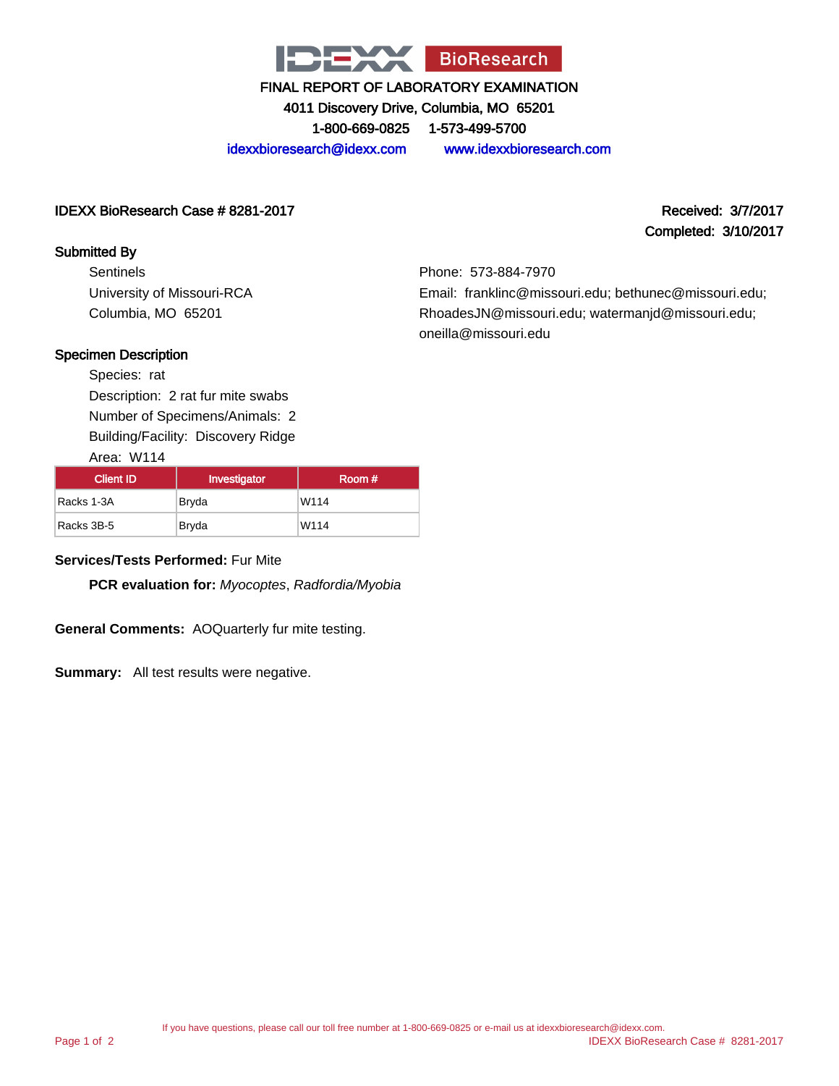

4011 Discovery Drive, Columbia, MO 65201 1-800-669-0825 1-573-499-5700

idexxbioresearch@idexx.com www.idexxbioresearch.com

## IDEXX BioResearch Case # 8281-2017 Received: 3/7/2017

## Submitted By

**Sentinels** University of Missouri-RCA Columbia, MO 65201

Completed: 3/10/2017

Phone: 573-884-7970 Email: franklinc@missouri.edu; bethunec@missouri.edu; RhoadesJN@missouri.edu; watermanjd@missouri.edu; oneilla@missouri.edu

## Specimen Description

Species: rat Description: 2 rat fur mite swabs Number of Specimens/Animals: 2 Building/Facility: Discovery Ridge

Area: W114

| Client ID  | Investigator | Room # |
|------------|--------------|--------|
| Racks 1-3A | Bryda        | W114   |
| Racks 3B-5 | Bryda        | W114   |

## **Services/Tests Performed:** Fur Mite

**PCR evaluation for:** Myocoptes, Radfordia/Myobia

**General Comments:** AOQuarterly fur mite testing.

**Summary:** All test results were negative.